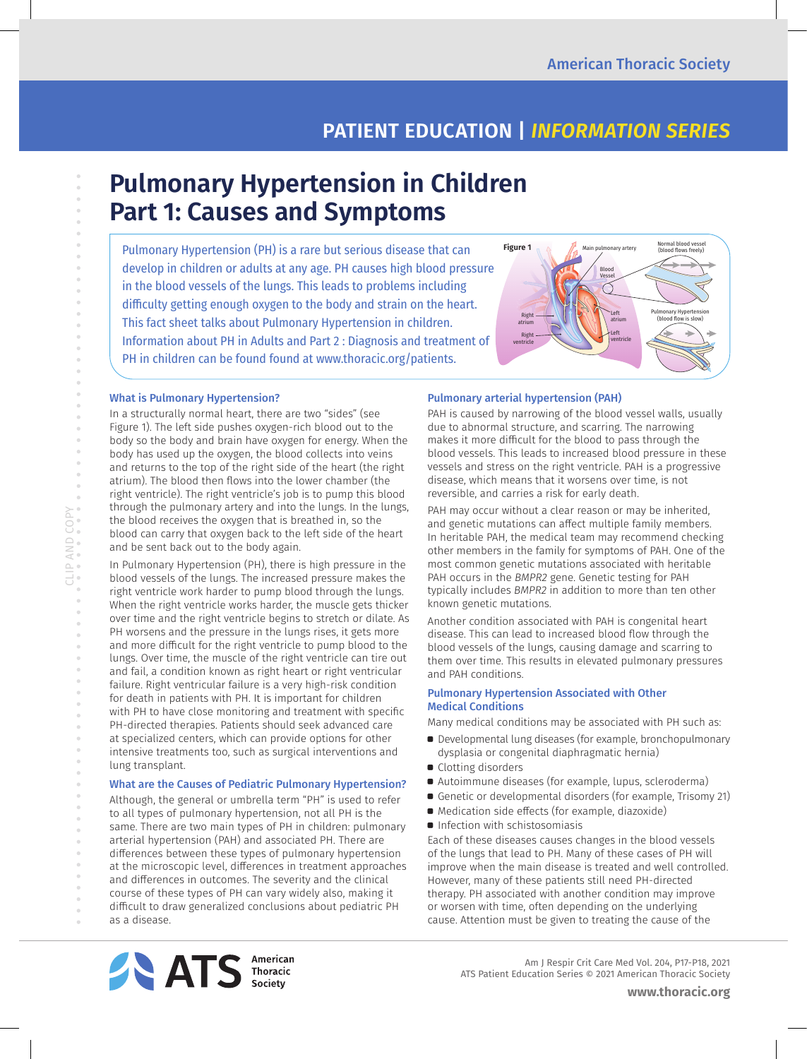## **PATIENT EDUCATION |** *INFORMATION SERIES*

# **Pulmonary Hypertension in Children Part 1: Causes and Symptoms**

Pulmonary Hypertension (PH) is a rare but serious disease that can develop in children or adults at any age. PH causes high blood pressure in the blood vessels of the lungs. This leads to problems including difficulty getting enough oxygen to the body and strain on the heart. This fact sheet talks about Pulmonary Hypertension in children. Information about PH in Adults and Part 2 : Diagnosis and treatment of PH in children can be found found at www.thoracic.org/patients.



#### What is Pulmonary Hypertension?

In a structurally normal heart, there are two "sides" (see Figure 1). The left side pushes oxygen-rich blood out to the body so the body and brain have oxygen for energy. When the body has used up the oxygen, the blood collects into veins and returns to the top of the right side of the heart (the right atrium). The blood then flows into the lower chamber (the right ventricle). The right ventricle's job is to pump this blood through the pulmonary artery and into the lungs. In the lungs, the blood receives the oxygen that is breathed in, so the blood can carry that oxygen back to the left side of the heart and be sent back out to the body again.

In Pulmonary Hypertension (PH), there is high pressure in the blood vessels of the lungs. The increased pressure makes the right ventricle work harder to pump blood through the lungs. When the right ventricle works harder, the muscle gets thicker over time and the right ventricle begins to stretch or dilate. As PH worsens and the pressure in the lungs rises, it gets more and more difficult for the right ventricle to pump blood to the lungs. Over time, the muscle of the right ventricle can tire out and fail, a condition known as right heart or right ventricular failure. Right ventricular failure is a very high-risk condition for death in patients with PH. It is important for children with PH to have close monitoring and treatment with specific PH-directed therapies. Patients should seek advanced care at specialized centers, which can provide options for other intensive treatments too, such as surgical interventions and lung transplant.

#### What are the Causes of Pediatric Pulmonary Hypertension?

Although, the general or umbrella term "PH" is used to refer to all types of pulmonary hypertension, not all PH is the same. There are two main types of PH in children: pulmonary arterial hypertension (PAH) and associated PH. There are differences between these types of pulmonary hypertension at the microscopic level, differences in treatment approaches and differences in outcomes. The severity and the clinical course of these types of PH can vary widely also, making it difficult to draw generalized conclusions about pediatric PH as a disease.

#### Pulmonary arterial hypertension (PAH)

PAH is caused by narrowing of the blood vessel walls, usually due to abnormal structure, and scarring. The narrowing makes it more difficult for the blood to pass through the blood vessels. This leads to increased blood pressure in these vessels and stress on the right ventricle. PAH is a progressive disease, which means that it worsens over time, is not reversible, and carries a risk for early death.

PAH may occur without a clear reason or may be inherited, and genetic mutations can affect multiple family members. In heritable PAH, the medical team may recommend checking other members in the family for symptoms of PAH. One of the most common genetic mutations associated with heritable PAH occurs in the *BMPR2* gene. Genetic testing for PAH typically includes *BMPR2* in addition to more than ten other known genetic mutations.

Another condition associated with PAH is congenital heart disease. This can lead to increased blood flow through the blood vessels of the lungs, causing damage and scarring to them over time. This results in elevated pulmonary pressures and PAH conditions.

#### Pulmonary Hypertension Associated with Other Medical Conditions

Many medical conditions may be associated with PH such as:

- a Developmental lung diseases (for example, bronchopulmonary dysplasia or congenital diaphragmatic hernia)
- Clotting disorders
- a Autoimmune diseases (for example, lupus, scleroderma)
- Genetic or developmental disorders (for example, Trisomy 21)
- $\bullet$  Medication side effects (for example, diazoxide)
- **•** Infection with schistosomiasis

Each of these diseases causes changes in the blood vessels of the lungs that lead to PH. Many of these cases of PH will improve when the main disease is treated and well controlled. However, many of these patients still need PH-directed therapy. PH associated with another condition may improve or worsen with time, often depending on the underlying cause. Attention must be given to treating the cause of the



 Am J Respir Crit Care Med Vol. 204, P17-P18, 2021 ATS Patient Education Series © 2021 American Thoracic Society

 $\alpha$